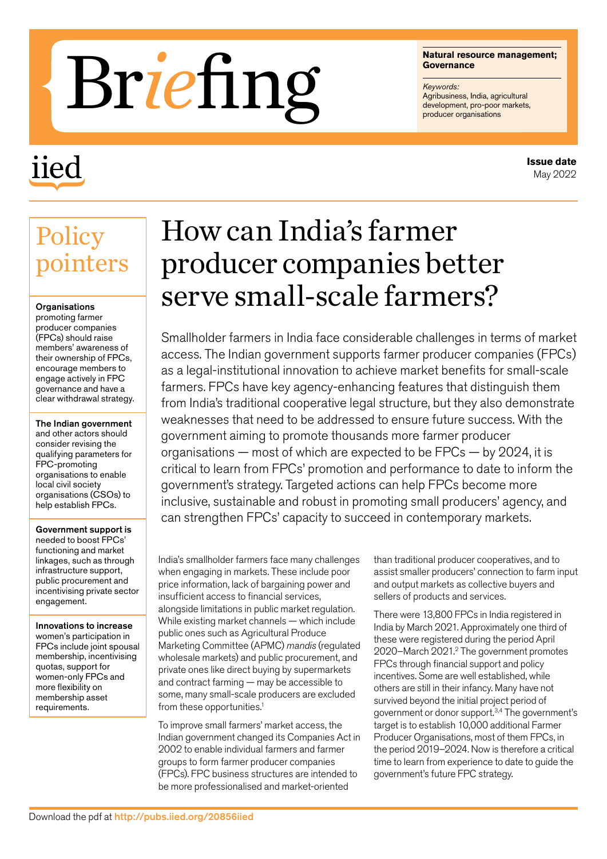# Matural resource m<br>Governance<br>Agribusiness, India, agribusiness, India, agribusiness, India, agribusiness, India, agribusiness, India, agri<br>producer organisations

## iied

#### **Natural resource management; Governance**

*Keywords:* Agribusiness, India, agricultural<br>development, pro-poor markets,

#### **Issue date** May 2022

### **Policy** pointers

#### **Organisations**

promoting farmer producer companies (FPCs) should raise members' awareness of their ownership of FPCs, encourage members to engage actively in FPC governance and have a clear withdrawal strategy.

The Indian government and other actors should consider revising the qualifying parameters for FPC-promoting organisations to enable local civil society organisations (CSOs) to help establish FPCs.

#### Government support is

needed to boost FPCs' functioning and market linkages, such as through infrastructure support, public procurement and incentivising private sector engagement.

Innovations to increase women's participation in FPCs include joint spousal membership, incentivising quotas, support for women-only FPCs and more flexibility on membership asset requirements.

## How can India's farmer producer companies better serve small-scale farmers?

Smallholder farmers in India face considerable challenges in terms of market access. The Indian government supports farmer producer companies (FPCs) as a legal-institutional innovation to achieve market benefits for small-scale farmers. FPCs have key agency-enhancing features that distinguish them from India's traditional cooperative legal structure, but they also demonstrate weaknesses that need to be addressed to ensure future success. With the government aiming to promote thousands more farmer producer organisations — most of which are expected to be FPCs — by 2024, it is critical to learn from FPCs' promotion and performance to date to inform the government's strategy. Targeted actions can help FPCs become more inclusive, sustainable and robust in promoting small producers' agency, and can strengthen FPCs' capacity to succeed in contemporary markets.

India's smallholder farmers face many challenges when engaging in markets. These include poor price information, lack of bargaining power and insufficient access to financial services, alongside limitations in public market regulation. While existing market channels — which include public ones such as Agricultural Produce Marketing Committee (APMC) *mandis* (regulated wholesale markets) and public procurement, and private ones like direct buying by supermarkets and contract farming — may be accessible to some, many small-scale producers are excluded from these opportunities.<sup>1</sup>

To improve small farmers' market access, the Indian government changed its Companies Act in 2002 to enable individual farmers and farmer groups to form farmer producer companies (FPCs). FPC business structures are intended to be more professionalised and market-oriented

than traditional producer cooperatives, and to assist smaller producers' connection to farm input and output markets as collective buyers and sellers of products and services.

There were 13,800 FPCs in India registered in India by March 2021. Approximately one third of these were registered during the period April 2020-March 2021.<sup>2</sup> The government promotes FPCs through financial support and policy incentives. Some are well established, while others are still in their infancy. Many have not survived beyond the initial project period of government or donor support.3,4 The government's target is to establish 10,000 additional Farmer Producer Organisations, most of them FPCs, in the period 2019–2024. Now is therefore a critical time to learn from experience to date to guide the government's future FPC strategy.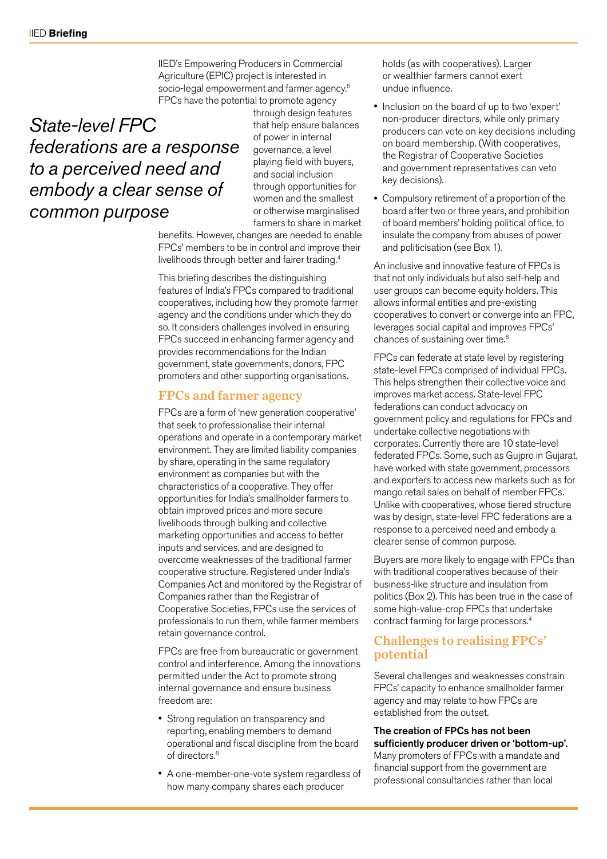IIED's Empowering Producers in Commercial Agriculture (EPIC) project is interested in socio-legal empowerment and farmer agency.<sup>5</sup> FPCs have the potential to promote agency

#### *State-level FPC federations are a response to a perceived need and embody a clear sense of common purpose*

through design features that help ensure balances of power in internal governance, a level playing field with buyers, and social inclusion through opportunities for women and the smallest or otherwise marginalised farmers to share in market

benefits. However, changes are needed to enable FPCs' members to be in control and improve their livelihoods through better and fairer trading.4

This briefing describes the distinguishing features of India's FPCs compared to traditional cooperatives, including how they promote farmer agency and the conditions under which they do so. It considers challenges involved in ensuring FPCs succeed in enhancing farmer agency and provides recommendations for the Indian government, state governments, donors, FPC promoters and other supporting organisations.

#### FPCs and farmer agency

FPCs are a form of 'new generation cooperative' that seek to professionalise their internal operations and operate in a contemporary market environment. They are limited liability companies by share, operating in the same regulatory environment as companies but with the characteristics of a cooperative. They offer opportunities for India's smallholder farmers to obtain improved prices and more secure livelihoods through bulking and collective marketing opportunities and access to better inputs and services, and are designed to overcome weaknesses of the traditional farmer cooperative structure. Registered under India's Companies Act and monitored by the Registrar of Companies rather than the Registrar of Cooperative Societies, FPCs use the services of professionals to run them, while farmer members retain governance control.

FPCs are free from bureaucratic or government control and interference. Among the innovations permitted under the Act to promote strong internal governance and ensure business freedom are:

- Strong regulation on transparency and reporting, enabling members to demand operational and fiscal discipline from the board of directors.6
- A one-member-one-vote system regardless of how many company shares each producer

holds (as with cooperatives). Larger or wealthier farmers cannot exert undue influence.

- Inclusion on the board of up to two 'expert' non-producer directors, while only primary producers can vote on key decisions including on board membership. (With cooperatives, the Registrar of Cooperative Societies and government representatives can veto key decisions).
- Compulsory retirement of a proportion of the board after two or three years, and prohibition of board members' holding political office, to insulate the company from abuses of power and politicisation (see Box 1).

An inclusive and innovative feature of FPCs is that not only individuals but also self-help and user groups can become equity holders. This allows informal entities and pre-existing cooperatives to convert or converge into an FPC, leverages social capital and improves FPCs' chances of sustaining over time.6

FPCs can federate at state level by registering state-level FPCs comprised of individual FPCs. This helps strengthen their collective voice and improves market access. State-level FPC federations can conduct advocacy on government policy and regulations for FPCs and undertake collective negotiations with corporates. Currently there are 10 state-level federated FPCs. Some, such as Gujpro in Gujarat, have worked with state government, processors and exporters to access new markets such as for mango retail sales on behalf of member FPCs. Unlike with cooperatives, whose tiered structure was by design, state-level FPC federations are a response to a perceived need and embody a clearer sense of common purpose.

Buyers are more likely to engage with FPCs than with traditional cooperatives because of their business-like structure and insulation from politics (Box 2). This has been true in the case of some high-value-crop FPCs that undertake contract farming for large processors.4

#### Challenges to realising FPCs' potential

Several challenges and weaknesses constrain FPCs' capacity to enhance smallholder farmer agency and may relate to how FPCs are established from the outset.

#### The creation of FPCs has not been sufficiently producer driven or 'bottom-up'.

Many promoters of FPCs with a mandate and financial support from the government are professional consultancies rather than local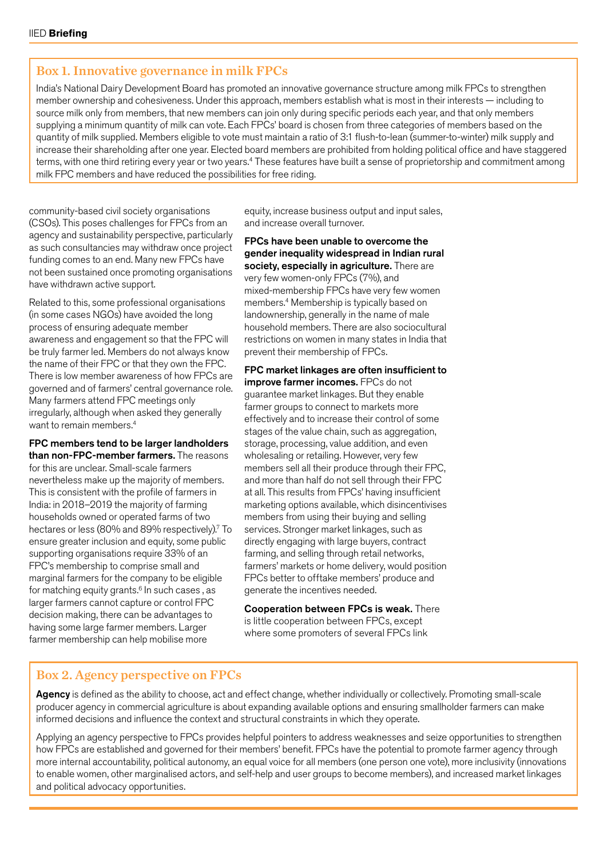#### Box 1. Innovative governance in milk FPCs

India's National Dairy Development Board has promoted an innovative governance structure among milk FPCs to strengthen member ownership and cohesiveness. Under this approach, members establish what is most in their interests — including to source milk only from members, that new members can join only during specific periods each year, and that only members supplying a minimum quantity of milk can vote. Each FPCs' board is chosen from three categories of members based on the quantity of milk supplied. Members eligible to vote must maintain a ratio of 3:1 flush-to-lean (summer-to-winter) milk supply and increase their shareholding after one year. Elected board members are prohibited from holding political office and have staggered terms, with one third retiring every year or two years.4 These features have built a sense of proprietorship and commitment among milk FPC members and have reduced the possibilities for free riding.

community-based civil society organisations (CSOs). This poses challenges for FPCs from an agency and sustainability perspective, particularly as such consultancies may withdraw once project funding comes to an end. Many new FPCs have not been sustained once promoting organisations have withdrawn active support.

Related to this, some professional organisations (in some cases NGOs) have avoided the long process of ensuring adequate member awareness and engagement so that the FPC will be truly farmer led. Members do not always know the name of their FPC or that they own the FPC. There is low member awareness of how FPCs are governed and of farmers' central governance role. Many farmers attend FPC meetings only irregularly, although when asked they generally want to remain members.<sup>4</sup>

#### FPC members tend to be larger landholders than non-FPC-member farmers. The reasons

for this are unclear. Small-scale farmers nevertheless make up the majority of members. This is consistent with the profile of farmers in India: in 2018–2019 the majority of farming households owned or operated farms of two hectares or less (80% and 89% respectively).<sup>7</sup> To ensure greater inclusion and equity, some public supporting organisations require 33% of an FPC's membership to comprise small and marginal farmers for the company to be eligible for matching equity grants.<sup>6</sup> In such cases, as larger farmers cannot capture or control FPC decision making, there can be advantages to having some large farmer members. Larger farmer membership can help mobilise more

equity, increase business output and input sales, and increase overall turnover.

FPCs have been unable to overcome the gender inequality widespread in Indian rural society, especially in agriculture. There are very few women-only FPCs (7%), and mixed-membership FPCs have very few women members.4 Membership is typically based on landownership, generally in the name of male household members. There are also sociocultural restrictions on women in many states in India that prevent their membership of FPCs.

FPC market linkages are often insufficient to improve farmer incomes. FPCs do not guarantee market linkages. But they enable farmer groups to connect to markets more effectively and to increase their control of some stages of the value chain, such as aggregation, storage, processing, value addition, and even wholesaling or retailing. However, very few members sell all their produce through their FPC, and more than half do not sell through their FPC at all. This results from FPCs' having insufficient marketing options available, which disincentivises members from using their buying and selling services. Stronger market linkages, such as directly engaging with large buyers, contract farming, and selling through retail networks. farmers' markets or home delivery, would position FPCs better to offtake members' produce and generate the incentives needed.

Cooperation between FPCs is weak. There is little cooperation between FPCs, except where some promoters of several FPCs link

#### Box 2. Agency perspective on FPCs

Agency is defined as the ability to choose, act and effect change, whether individually or collectively. Promoting small-scale producer agency in commercial agriculture is about expanding available options and ensuring smallholder farmers can make informed decisions and influence the context and structural constraints in which they operate.

Applying an agency perspective to FPCs provides helpful pointers to address weaknesses and seize opportunities to strengthen how FPCs are established and governed for their members' benefit. FPCs have the potential to promote farmer agency through more internal accountability, political autonomy, an equal voice for all members (one person one vote), more inclusivity (innovations to enable women, other marginalised actors, and self-help and user groups to become members), and increased market linkages and political advocacy opportunities.